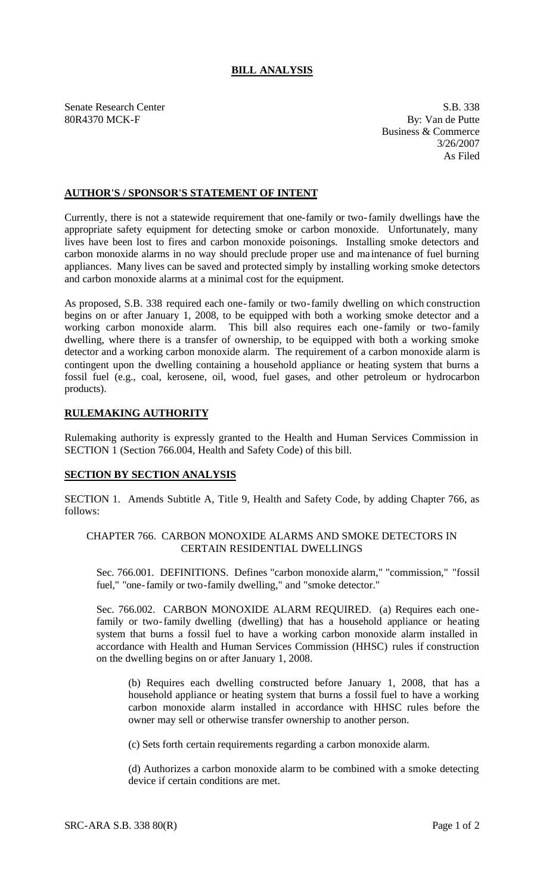# **BILL ANALYSIS**

Senate Research Center S.B. 338 80R4370 MCK-F By: Van de Putte

Business & Commerce 3/26/2007 As Filed

## **AUTHOR'S / SPONSOR'S STATEMENT OF INTENT**

Currently, there is not a statewide requirement that one-family or two-family dwellings have the appropriate safety equipment for detecting smoke or carbon monoxide. Unfortunately, many lives have been lost to fires and carbon monoxide poisonings. Installing smoke detectors and carbon monoxide alarms in no way should preclude proper use and ma intenance of fuel burning appliances. Many lives can be saved and protected simply by installing working smoke detectors and carbon monoxide alarms at a minimal cost for the equipment.

As proposed, S.B. 338 required each one-family or two-family dwelling on which construction begins on or after January 1, 2008, to be equipped with both a working smoke detector and a working carbon monoxide alarm. This bill also requires each one-family or two-family dwelling, where there is a transfer of ownership, to be equipped with both a working smoke detector and a working carbon monoxide alarm. The requirement of a carbon monoxide alarm is contingent upon the dwelling containing a household appliance or heating system that burns a fossil fuel (e.g., coal, kerosene, oil, wood, fuel gases, and other petroleum or hydrocarbon products).

### **RULEMAKING AUTHORITY**

Rulemaking authority is expressly granted to the Health and Human Services Commission in SECTION 1 (Section 766.004, Health and Safety Code) of this bill.

### **SECTION BY SECTION ANALYSIS**

SECTION 1. Amends Subtitle A, Title 9, Health and Safety Code, by adding Chapter 766, as follows:

## CHAPTER 766. CARBON MONOXIDE ALARMS AND SMOKE DETECTORS IN CERTAIN RESIDENTIAL DWELLINGS

Sec. 766.001. DEFINITIONS. Defines "carbon monoxide alarm," "commission," "fossil fuel," "one-family or two-family dwelling," and "smoke detector."

Sec. 766.002. CARBON MONOXIDE ALARM REQUIRED. (a) Requires each onefamily or two-family dwelling (dwelling) that has a household appliance or heating system that burns a fossil fuel to have a working carbon monoxide alarm installed in accordance with Health and Human Services Commission (HHSC) rules if construction on the dwelling begins on or after January 1, 2008.

(b) Requires each dwelling constructed before January 1, 2008, that has a household appliance or heating system that burns a fossil fuel to have a working carbon monoxide alarm installed in accordance with HHSC rules before the owner may sell or otherwise transfer ownership to another person.

(c) Sets forth certain requirements regarding a carbon monoxide alarm.

(d) Authorizes a carbon monoxide alarm to be combined with a smoke detecting device if certain conditions are met.